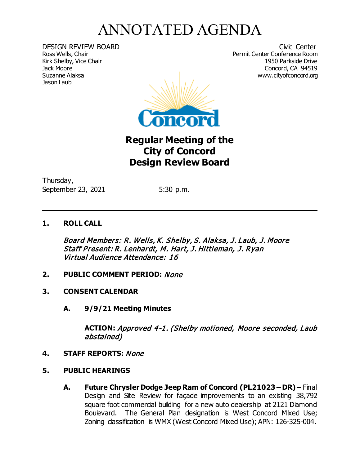## ANNOTATED AGENDA

Kirk Shelby, Vice Chair<br>Jack Moore Jason Laub

DESIGN REVIEW BOARD Civic Center<br>
Ross Wells, Chair Chair Center Conference Room Permit Center Conference Room<br>1950 Parkside Drive Jack Moore Concord, CA 94519 www.cityofconcord.org



## **Regular Meeting of the City of Concord Design Review Board**

Thursday, September 23, 2021 5:30 p.m.

## **1. ROLL CALL**

Board Members: R. Wells, K. Shelby, S. Alaksa, J. Laub, J. Moore Staff Present: R. Lenhardt, M. Hart, J. Hittleman, J. Ryan Virtual Audience Attendance: 16

- **2. PUBLIC COMMENT PERIOD:** None
- **3. CONSENT CALENDAR**
	- **A. 9/9/21 Meeting Minutes**

**ACTION:** Approved 4-1. (Shelby motioned, Moore seconded, Laub abstained)

 $\ddot{ }$ 

- **4. STAFF REPORTS:** None
- **5. PUBLIC HEARINGS**
	- **A. Future Chrysler Dodge Jeep Ram of Concord (PL21023 – DR) –** Final Design and Site Review for façade improvements to an existing 38,792 square foot commercial building for a new auto dealership at 2121 Diamond Boulevard. The General Plan designation is West Concord Mixed Use; Zoning classification is WMX (West Concord Mixed Use); APN: 126-325-004.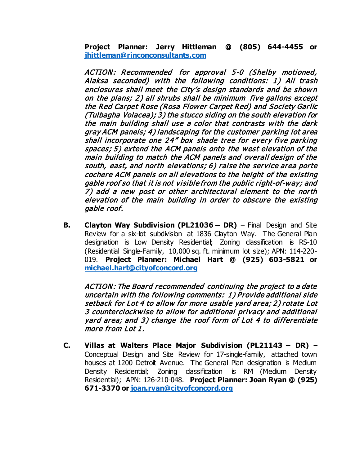**Project Planner: Jerry Hittleman @ (805) 644-4455 or [jhittleman@rinconconsultants.com](mailto:jhittleman@rinconconsultants.com)**

ACTION: Recommended for approval 5-0 (Shelby motioned, Alaksa seconded) with the following conditions: 1) All trash enclosures shall meet the City's design standards and be show <sup>n</sup> on the plans; 2) all shrubs shall be minimum five gallons except the Red Carpet Rose (Rosa Flower Carpet Red) and Society Garlic (Tulbagha Volacea); 3) the stucco siding on the south elevation for the main building shall use a color that contrasts with the dark gray ACM panels; 4) landscaping for the customer parking lot area shall incorporate one 24" box shade tree for every five parking spaces; 5) extend the ACM panels onto the west elevation of the main building to match the ACM panels and overall design of the south, east, and north elevations; 6) raise the service area porte cochere ACM panels on all elevations to the height of the existing gable roof so that it is not visible from the public right-of-way; and 7) add a new post or other architectural element to the north elevation of the main building in order to obscure the existing gable roof.

**B. Clayton Way Subdivision (PL21036 – DR)** – Final Design and Site Review for a six-lot subdivision at 1836 Clayton Way. The General Plan designation is Low Density Residential; Zoning classification is RS-10 (Residential Single-Family, 10,000 sq. ft. minimum lot size); APN: 114-220- 019. **Project Planner: Michael Hart @ (925) 603-5821 or [michael.hart@cityofconcord.org](mailto:michael.hart@cityofconcord.org)**

ACTION: The Board recommended continuing the project to a date uncertain with the following comments: 1) Provide additional side setback for Lot 4 to allow for more usable yard area; 2) rotate Lot 3 counterclockwise to allow for additional privacy and additional yard area; and 3) change the roof form of Lot 4 to differentiate more from Lot 1.

**C. Villas at Walters Place Major Subdivision (PL21143 – DR)** – Conceptual Design and Site Review for 17-single-family, attached town houses at 1200 Detroit Avenue. The General Plan designation is Medium Density Residential; Zoning classification is RM (Medium Density Residential); APN: 126-210-048. **Project Planner: Joan Ryan @ (925) 671-3370 or [joan.ryan@cityofconcord.org](mailto:joan.ryan@cityofconcord.org)**